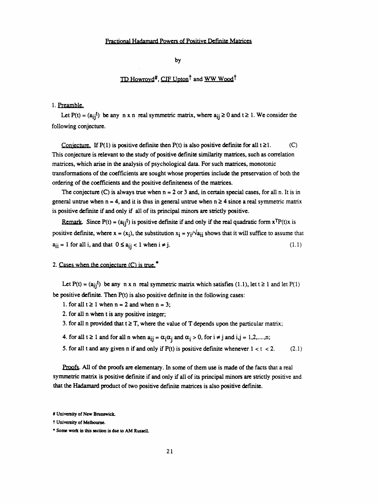by

# TD Howrovd<sup>#</sup>, CJF Upton<sup>†</sup> and WW Wood<sup>†</sup>

### 1. Preamble.

Let P(t) =  $(a_{ij}t)$  be any n x n real symmetric matrix, where  $a_{ij} \ge 0$  and  $t \ge 1$ . We consider the following conjecture.

Conjecture. If  $P(1)$  is positive definite then  $P(t)$  is also positive definite for all  $t \ge 1$ . (C) This conjecture is relevant to the study of positive definite similarity matrices, such as correlation matrices, which arise in the analysis of psychological data. For such matrices, monotonie transformations of the coefficients are sought whose properties include the preservation of both the ordering of the coefficients and the positive definiteness of the matrices.

The conjecture (C) is always true when  $n = 2$  or 3 and, in certain special cases, for all n. It is in general untrue when  $n = 4$ , and it is thus in general untrue when  $n \ge 4$  since a real symmetric matrix is positive definite if and only if all of its principal minors are strictly positive.

Remark. Since P(t) =  $(a_{ij}t)$  is positive definite if and only if the real quadratic form  $x^T P(t)x$  is positive definite, where  $x = (x_i)$ , the substitution  $x_i = y_i/\sqrt{a_{ii}}$  shows that it will suffice to assume that  $a_{ii} = 1$  for all i, and that  $0 \le a_{ii} < 1$  when  $i \ne j$ . (1.1)

### 2. Cases when the conjecture  $(C)$  is true.<sup>\*</sup>

Let P(t) =  $(a_{ij}^t)$  be any n x n real symmetric matrix which satisfies (1.1), let  $t \ge 1$  and let P(1) be positive definite. Then P(t) is also positive definite in the following cases:

- 1. for all  $t \ge 1$  when  $n = 2$  and when  $n = 3$ ;
- 2. for all n when t is any positive integer;
- 3. for all n provided that  $t \geq T$ , where the value of T depends upon the particular matrix;
- 4. for all  $t \ge 1$  and for all n when  $a_{ij} = \alpha_i \alpha_j$  and  $\alpha_i > 0$ , for  $i \ne j$  and  $i, j = 1, 2, ..., n$ ;
- 5. for all t and any given n if and only if  $P(t)$  is positive definite whenever  $1 < t < 2$ . (2.1)

 Proofs. All of the proofs are elementary. In some of them use is made of the facts that a real symmetric matrix is positive definite if and only if all of its principal minors are strictly positive and that the Hadamard product of two positive definite matrices is also positive definite.

 <sup>#</sup> University of New Brunswick,

t University of Melbourne.

<sup>\*</sup> Some work in this section is due to AM Russell.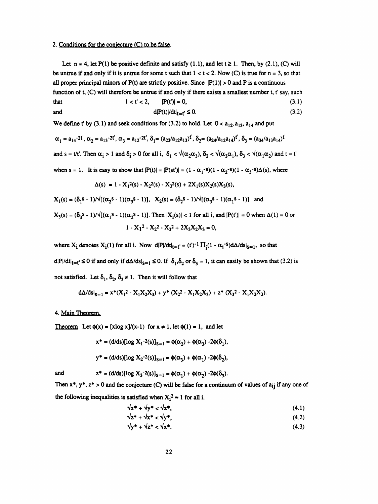## 2. Conditions for the conjecture (C) to be false.

Let  $n = 4$ , let P(1) be positive definite and satisfy (1.1), and let  $t \ge 1$ . Then, by (2.1), (C) will be untrue if and only if it is untrue for some t such that  $1 < t < 2$ . Now (C) is true for  $n = 3$ , so that all proper principal minors of  $P(t)$  are strictly positive. Since  $|P(1)| > 0$  and P is a continuous

function of t, (C) will therefore be unique if and only if there exists a smallest number t, t say, such that 
$$
1 < t' < 2
$$
,  $|P(t')| = 0$ ,  $(3.1)$ 

and  
\n
$$
1 < t < 2
$$
,  $|F(t)| = 0$ , (3.1)  
\n $d|P(t)|/dt|_{t=t'} \le 0$ . (3.2)

We define t' by (3.1) and seek conditions for (3.2) to hold. Let  $0 < a_{12}, a_{13}, a_{14}$  and put

$$
\alpha_1 = a_{14} - 2t', \alpha_2 = a_{13} - 2t', \alpha_3 = a_{12} - 2t', \delta_1 = (a_{23}/a_{12}a_{13})t', \delta_2 = (a_{24}/a_{12}a_{14})t', \delta_3 = (a_{34}/a_{13}a_{14})t'
$$
  
and  $s = t/t'$ . Then  $\alpha_1 > 1$  and  $\delta_1 > 0$  for all i,  $\delta_1 < \sqrt{(\alpha_2\alpha_3)}, \delta_2 < \sqrt{(\alpha_3\alpha_1)}, \delta_3 < \sqrt{(\alpha_1\alpha_2)}$  and  $t = t'$   
when  $s = 1$ . It is easy to show that  $|P(t)| = |P(st')| = (1 - \alpha_1 - s)(1 - \alpha_2 - s)(1 - \alpha_3 - s)\Delta(s)$ , where  

$$
\Delta(s) = 1 - X_1^2(s) - X_2^2(s) - X_3^2(s) + 2X_1(s)X_2(s)X_3(s),
$$

$$
X_1(s) = (\delta_1 s - 1)/\sqrt{[(\alpha_2 s - 1)(\alpha_3 s - 1)]}, X_2(s) = (\delta_2 s - 1)/\sqrt{[(\alpha_3 s - 1)(\alpha_1 s - 1)]}
$$
and

$$
X_3(s) = (\delta_3 s - 1)/\sqrt{[(\alpha_1 s - 1)(\alpha_2 s - 1)]}.
$$
 Then  $|X_i(s)| < 1$  for all i, and  $|P(t')| = 0$  when  $\Delta(1) = 0$  or   
  $1 - X_1^2 - X_2^2 - X_3^2 + 2X_3X_2X_3 = 0,$ 

where  $X_i$  denotes  $X_i(1)$  for all i. Now  $dP/dt|_{t=t'} = (t')^{-1} \prod_i (1 - \alpha_i^{-s}) d\Delta/ds|_{s=1}$ , so that  $d|P|/dt|_{t=t'} \le 0$  if and only if  $d\Delta/ds|_{s=1} \le 0$ . If  $\delta_1, \delta_2$  or  $\delta_3 = 1$ , it can easily be shown that (3.2) is not satisfied. Let  $\delta_1$ ,  $\delta_2$ ,  $\delta_3 \neq 1$ . Then it will follow that

$$
d\Delta/ds|_{s=1} = x^*(X_1^2 - X_1X_2X_3) + y^*(X_2^2 - X_1X_2X_3) + z^*(X_3^2 - X_1X_2X_3).
$$

### 4. Main Theorem.

Theorem Let  $\phi(x) = [x \log x]/(x-1)$  for  $x \ne 1$ , let  $\phi(1) = 1$ , and let

$$
x^* = (d/ds)[\log X_1^{-2}(s)]_{s=1} = \phi(\alpha_2) + \phi(\alpha_3) - 2\phi(\delta_1),
$$

 $y^* = (d/ds)[\log X_2^{-2}(s)]_{s=1} = \phi(\alpha_1) + \phi(\alpha_1) - 2\phi(\delta_2),$ 

and  $z^* = (d/ds)[\log X_3^{-2}(s)]_{s=1} = \phi(\alpha_1) + \phi(\alpha_2) -2\phi(\delta_3).$ 

Then 
$$
x^*
$$
,  $y^*$ ,  $z^* > 0$  and the conjecture (C) will be false for a continuum of values of  $a_{ij}$  if any one of the following inequalities is satisfied when  $X_i^2 \approx 1$  for all i.

The following inequalities is satisfied when 
$$
X_1^2 \approx 1
$$
 for all 1.

\n $\sqrt{x^* + \sqrt{y^*}} < \sqrt{z^*}$ 

\n(4.1)

$$
\sqrt{2^*} + \sqrt{x^*} < \sqrt{y^*},
$$
\n(4.2)

$$
\sqrt{y^* + \sqrt{z^*} < \sqrt{x^*}}.
$$
 (4.3)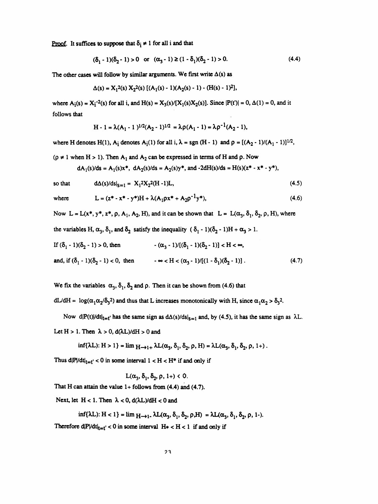Proof. It suffices to suppose that  $\delta_i \neq 1$  for all i and that

$$
(\delta_1 - 1)(\delta_2 - 1) > 0 \quad \text{or} \quad (\alpha_3 - 1) \ge (1 - \delta_1)(\delta_2 - 1) > 0. \tag{4.4}
$$

The other cases will follow by similar arguments. We first write  $\Delta(s)$  as

$$
\Delta(s) = X_1^2(s) X_2^2(s) \left[ (A_1(s) - 1)(A_2(s) - 1) - (H(s) - 1)^2 \right],
$$

where  $A_i(s) = X_i^{-2}(s)$  for all i, and  $H(s) = X_3(s)/[X_1(s)X_2(s)]$ . Since  $|P(t')| = 0$ ,  $\Delta(1) = 0$ , and it follows that

$$
H - 1 = \lambda (A_1 - 1)^{1/2} (A_2 - 1)^{1/2} = \lambda \rho (A_1 - 1) = \lambda \rho^{-1} (A_2 - 1),
$$

where H denotes H(1),  $A_i$  denotes  $A_i(1)$  for all i,  $\lambda = sgn(H - 1)$  and  $\rho = [(A_2 - 1)/(A_1 - 1)]^{1/2}$ ,

 $(p \neq 1$  when H > 1). Then A<sub>1</sub> and A<sub>2</sub> can be expressed in terms of H and p. Now

$$
dA_1(s)/ds = A_1(s)x^*
$$
,  $dA_2(s)/ds = A_2(s)y^*$ , and  $-2dH(s)/ds = H(s)(z^* - x^* - y^*),$ 

so that 
$$
d\Delta(s)/ds|_{S=1} = X_1^2 X_2^2 (H-1)L,
$$
 (4.5)

where 
$$
L = (z^* - x^* - y^*)H + \lambda(A_1 \rho x^* + A_2 \rho^{-1} y^*),
$$
 (4.6)

Now  $L = L(x^*, y^*, z^*, \rho, A_1, A_2, H)$ , and it can be shown that  $L = L(\alpha_3, \delta_1, \delta_2, \rho, H)$ , where

the variables H, 
$$
\alpha_3
$$
,  $\delta_1$ , and  $\delta_2$  satisfy the inequality  $(\delta_1 - 1)(\delta_2 - 1)H + \alpha_3 > 1$ .

If 
$$
(\delta_1 - 1)(\delta_2 - 1) > 0
$$
, then  $-(\alpha_3 - 1)/[(\delta_1 - 1)(\delta_2 - 1)] < H < \infty$ ,  
and, if  $(\delta_1 - 1)(\delta_2 - 1) < 0$ , then  $-\infty < H < (\alpha_3 - 1)/[(1 - \delta_1)(\delta_2 - 1)]$ . (4.7)

We fix the variables  $\alpha_3$ ,  $\delta_1$ ,  $\delta_2$  and  $\rho$ . Then it can be shown from (4.6) that

dL/dH =  $\log(\alpha_1 \alpha_2/\delta_3^2)$  and thus that L increases monotonically with H, since  $\alpha_1 \alpha_2 > \delta_3^2$ .

Now d|P(t)|/dt|<sub>t=t'</sub> has the same sign as  $d\Delta(s)/ds|_{s=1}$  and, by (4.5), it has the same sign as  $\lambda L$ .

Let  $H > 1$ . Then  $\lambda > 0$ ,  $d(\lambda L)/dH > 0$  and

$$
\inf\{\lambda L\}: H > 1\} = \lim_{M \to 1+} \lambda L(\alpha_3, \delta_1, \delta_2, \rho, H) = \lambda L(\alpha_3, \delta_1, \delta_2, \rho, 1+).
$$

Thus  $d|P/dt|_{t=t'} < 0$  in some interval  $1 < H < H^*$  if and only if

$$
L(\alpha_3, \delta_1, \delta_2, \rho, 1+) < 0.
$$

That H can attain the value  $1+$  follows from (4.4) and (4.7).

Next, let  $H < 1$ . Then  $\lambda < 0$ ,  $d(\lambda L)/dH < 0$  and

$$
\inf\{\lambda L\}: H < 1\} = \lim_{M \to 1^-} \lambda L(\alpha_3, \delta_1, \delta_2, \rho, H) = \lambda L(\alpha_3, \delta_1, \delta_2, \rho, 1-).
$$

Therefore  $dP/dt|_{t=t'} < 0$  in some interval  $H^* < H < 1$  if and only if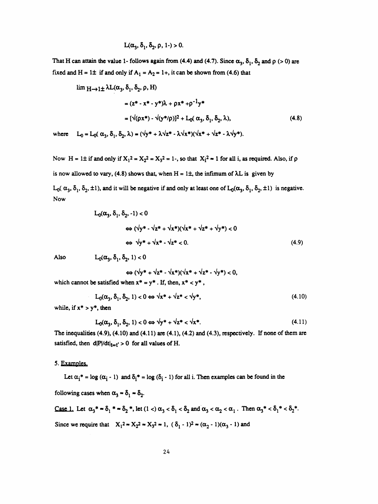$$
L(\alpha_3, \delta_1, \delta_2, \rho, 1-) > 0.
$$

That H can attain the value 1- follows again from (4.4) and (4.7). Since  $\alpha_3$ ,  $\delta_1$ ,  $\delta_2$  and  $\rho$  (> 0) are fixed and H = 1 $\pm$  if and only if A<sub>1</sub> = A<sub>2</sub> = 1+, it can be shown from (4.6) that

$$
\lim_{\Delta t \to 1 \pm} \lambda L(\alpha_3, \delta_1, \delta_2, \rho, H)
$$
  
=  $(z^* - x^* - y^*)\lambda + \rho x^* + \rho^{-1} y^*$   
=  $[\sqrt{\rho x^*} - \sqrt{\frac{y^*}{\rho}}]^2 + L_0(\alpha_3, \delta_1, \delta_2, \lambda),$  (4.8)

where  $L_0 = L_0(\alpha_3, \delta_1, \delta_2, \lambda) = (\sqrt{y^*} + \lambda \sqrt{z^*} - \lambda \sqrt{x^*})(\sqrt{x^*} + \sqrt{z^*} - \lambda \sqrt{y^*}).$ 

Now H = 1± if and only if  $X_1^2 = X_2^2 = X_3^2 = 1$ -, so that  $X_1^2 = 1$  for all i, as required. Also, if  $\rho$ is now allowed to vary, (4.8) shows that, when  $H = 1\pm$ , the infimum of  $\lambda L$  is given by  $L_0(\alpha_3, \delta_1, \delta_2, \pm 1)$ , and it will be negative if and only at least one of  $L_0(\alpha_3, \delta_1, \delta_2, \pm 1)$  is negative.

$$
L_0(\alpha_3, \delta_1, \delta_2, -1) < 0
$$
  
\n
$$
\Leftrightarrow (\sqrt{y^*} - \sqrt{z^*} + \sqrt{x^*})(\sqrt{x^*} + \sqrt{z^*} + \sqrt{y^*}) < 0
$$
  
\n
$$
\Leftrightarrow \sqrt{y^*} + \sqrt{x^*} - \sqrt{z^*} < 0.
$$
\n(4.9)

Also

**Now** 

$$
L_0(\alpha_3, \delta_1, \delta_2, 1) < 0
$$

$$
\Leftrightarrow (\sqrt{y^*} + \sqrt{z^*} - \sqrt{x^*})(\sqrt{x^*} + \sqrt{z^*} - \sqrt{y^*}) < 0,
$$

which cannot be satisfied when  $x^* = y^*$ . If, then,  $x^* < y^*$ ,

$$
L_0(\alpha_3, \delta_1, \delta_2, 1) < 0 \Leftrightarrow \sqrt{x^* + \sqrt{z^*} < \sqrt{y^*},\tag{4.10}
$$

while, if  $x^* > y^*$ , then

$$
L_0(\alpha_3, \delta_1, \delta_2, 1) < 0 \Leftrightarrow \sqrt{y^* + \sqrt{z^*}} < \sqrt{x^*}. \tag{4.11}
$$

The inequalities  $(4.9)$ ,  $(4.10)$  and  $(4.11)$  are  $(4.1)$ ,  $(4.2)$  and  $(4.3)$ , respectively. If none of them are satisfied, then  $d|P|/dt|_{t=t'} > 0$  for all values of H.

### 5. Examples.

Let  $\alpha_i^* = \log(\alpha_i - 1)$  and  $\delta_i^* = \log(\delta_i - 1)$  for all i. Then examples can be found in the

following cases when  $\alpha_3 \approx \delta_1 \approx \delta_2$ .

Case 1. Let 
$$
\alpha_3^* \approx \delta_1^* \approx \delta_2^*
$$
, let  $(1 <) \alpha_3 < \delta_1 < \delta_2$  and  $\alpha_3 < \alpha_2 < \alpha_1$ . Then  $\alpha_3^* < \delta_1^* < \delta_2^*$ .  
Since we require that  $X_1^2 \approx X_2^2 \approx X_3^2 \approx 1$ ,  $(\delta_1 - 1)^2 \approx (\alpha_2 - 1)(\alpha_3 - 1)$  and